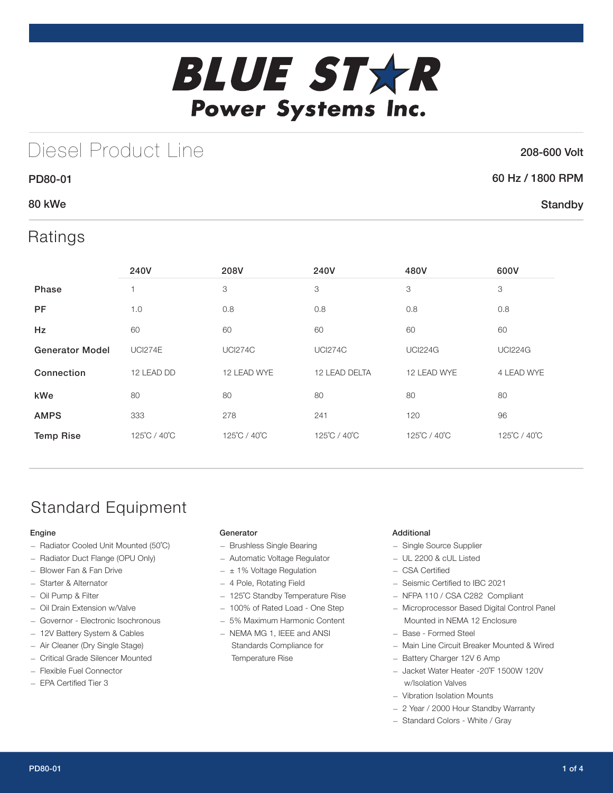

# Diesel Product Line

### 208-600 Volt

**Standby** 

## 60 Hz / 1800 RPM

## 80 kWe

PD80-01

## Ratings

|                        | 240V           | 208V           | 240V           | 480V           | 600V           |
|------------------------|----------------|----------------|----------------|----------------|----------------|
| <b>Phase</b>           |                | 3              | 3              | 3              | 3              |
| <b>PF</b>              | 1.0            | 0.8            | 0.8            | 0.8            | 0.8            |
| Hz                     | 60             | 60             | 60             | 60             | 60             |
| <b>Generator Model</b> | <b>UCI274E</b> | <b>UCI274C</b> | <b>UCI274C</b> | <b>UCI224G</b> | <b>UCI224G</b> |
| Connection             | 12 LEAD DD     | 12 LEAD WYE    | 12 LEAD DELTA  | 12 LEAD WYE    | 4 LEAD WYE     |
| kWe                    | 80             | 80             | 80             | 80             | 80             |
| <b>AMPS</b>            | 333            | 278            | 241            | 120            | 96             |
| <b>Temp Rise</b>       | 125°C / 40°C   | 125°C / 40°C   | 125°C / 40°C   | 125°C / 40°C   | 125°C / 40°C   |

# Standard Equipment

### Engine

- Radiator Cooled Unit Mounted (50˚C)
- Radiator Duct Flange (OPU Only)
- Blower Fan & Fan Drive
- Starter & Alternator
- Oil Pump & Filter
- Oil Drain Extension w/Valve
- Governor Electronic Isochronous
- 12V Battery System & Cables
- Air Cleaner (Dry Single Stage)
- Critical Grade Silencer Mounted
- Flexible Fuel Connector
- EPA Certified Tier 3

### Generator

- Brushless Single Bearing
- Automatic Voltage Regulator
- $\pm$  1% Voltage Regulation
- 4 Pole, Rotating Field
- 125˚C Standby Temperature Rise
- 100% of Rated Load One Step
- 5% Maximum Harmonic Content
- NEMA MG 1, IEEE and ANSI Standards Compliance for Temperature Rise

### Additional

- Single Source Supplier
- UL 2200 & cUL Listed
- CSA Certified
- Seismic Certified to IBC 2021
- NFPA 110 / CSA C282 Compliant
- Microprocessor Based Digital Control Panel Mounted in NEMA 12 Enclosure
- Base Formed Steel
- Main Line Circuit Breaker Mounted & Wired
- Battery Charger 12V 6 Amp
- Jacket Water Heater -20˚F 1500W 120V w/Isolation Valves
- Vibration Isolation Mounts
- 2 Year / 2000 Hour Standby Warranty
- Standard Colors White / Gray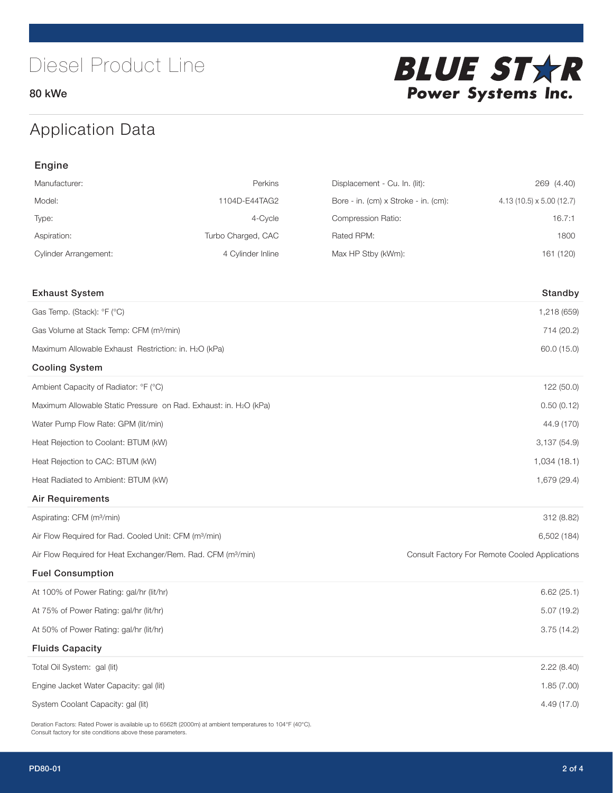80 kWe



# Application Data

| Engine                                                                   |                    |                                      |                                                |  |  |
|--------------------------------------------------------------------------|--------------------|--------------------------------------|------------------------------------------------|--|--|
| Manufacturer:                                                            | Perkins            | Displacement - Cu. In. (lit):        | 269 (4.40)                                     |  |  |
| Model:                                                                   | 1104D-E44TAG2      | Bore - in. (cm) x Stroke - in. (cm): | $4.13(10.5) \times 5.00(12.7)$                 |  |  |
| Type:                                                                    | 4-Cycle            | Compression Ratio:                   | 16.7:1                                         |  |  |
| Aspiration:                                                              | Turbo Charged, CAC | Rated RPM:                           | 1800                                           |  |  |
| <b>Cylinder Arrangement:</b>                                             | 4 Cylinder Inline  | Max HP Stby (kWm):                   | 161 (120)                                      |  |  |
| <b>Exhaust System</b>                                                    |                    |                                      | Standby                                        |  |  |
| Gas Temp. (Stack): °F (°C)                                               |                    |                                      | 1,218 (659)                                    |  |  |
| Gas Volume at Stack Temp: CFM (m <sup>3</sup> /min)                      |                    |                                      | 714 (20.2)                                     |  |  |
| Maximum Allowable Exhaust Restriction: in. H2O (kPa)                     |                    |                                      | 60.0 (15.0)                                    |  |  |
| <b>Cooling System</b>                                                    |                    |                                      |                                                |  |  |
| Ambient Capacity of Radiator: °F (°C)                                    |                    |                                      | 122 (50.0)                                     |  |  |
| Maximum Allowable Static Pressure on Rad. Exhaust: in. H2O (kPa)         |                    |                                      | 0.50(0.12)                                     |  |  |
| Water Pump Flow Rate: GPM (lit/min)                                      |                    |                                      | 44.9 (170)                                     |  |  |
| Heat Rejection to Coolant: BTUM (kW)                                     |                    |                                      | 3,137(54.9)                                    |  |  |
| Heat Rejection to CAC: BTUM (kW)                                         |                    |                                      | 1,034(18.1)                                    |  |  |
| Heat Radiated to Ambient: BTUM (kW)                                      |                    |                                      | 1,679 (29.4)                                   |  |  |
| <b>Air Requirements</b>                                                  |                    |                                      |                                                |  |  |
| Aspirating: CFM (m <sup>3</sup> /min)                                    |                    |                                      | 312 (8.82)                                     |  |  |
| Air Flow Required for Rad. Cooled Unit: CFM (m <sup>3</sup> /min)        |                    |                                      | 6,502 (184)                                    |  |  |
| Air Flow Required for Heat Exchanger/Rem. Rad. CFM (m <sup>3</sup> /min) |                    |                                      | Consult Factory For Remote Cooled Applications |  |  |
| <b>Fuel Consumption</b>                                                  |                    |                                      |                                                |  |  |
| At 100% of Power Rating: gal/hr (lit/hr)                                 |                    |                                      | 6.62(25.1)                                     |  |  |
| At 75% of Power Rating: gal/hr (lit/hr)                                  |                    | 5.07 (19.2)                          |                                                |  |  |
| At 50% of Power Rating: gal/hr (lit/hr)                                  |                    |                                      | 3.75(14.2)                                     |  |  |
| <b>Fluids Capacity</b>                                                   |                    |                                      |                                                |  |  |
| Total Oil System: gal (lit)                                              |                    |                                      | 2.22(8.40)                                     |  |  |
| Engine Jacket Water Capacity: gal (lit)                                  |                    |                                      | 1.85(7.00)                                     |  |  |
| System Coolant Capacity: gal (lit)                                       |                    |                                      | 4.49 (17.0)                                    |  |  |

Deration Factors: Rated Power is available up to 6562ft (2000m) at ambient temperatures to 104°F (40°C). Consult factory for site conditions above these parameters.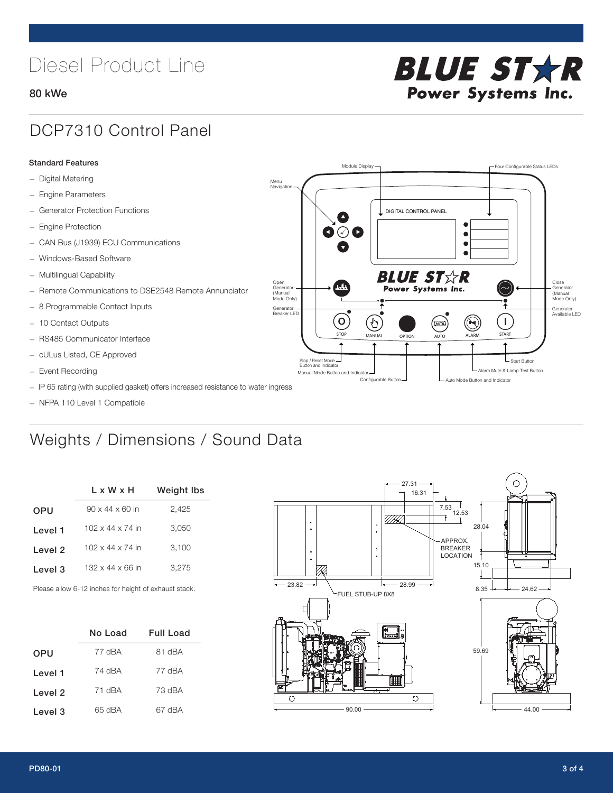# Diesel Product Line

### 80 kWe



## DCP7310 Control Panel

#### Standard Features

- Digital Metering
- Engine Parameters
- Generator Protection Functions
- Engine Protection
- CAN Bus (J1939) ECU Communications
- Windows-Based Software
- Multilingual Capability
- Remote Communications to DSE2548 Remote Annunciator
- 8 Programmable Contact Inputs
- 10 Contact Outputs
- RS485 Communicator Interface
- cULus Listed, CE Approved
- Event Recording
- IP 65 rating (with supplied gasket) offers increased resistance to water ingress
- NFPA 110 Level 1 Compatible

# Weights / Dimensions / Sound Data

|            | $L \times W \times H$        | <b>Weight lbs</b> |
|------------|------------------------------|-------------------|
| <b>OPU</b> | $90 \times 44 \times 60$ in  | 2,425             |
| Level 1    | $102 \times 44 \times 74$ in | 3.050             |
| Level 2    | $102 \times 44 \times 74$ in | 3.100             |
| Level 3    | $132 \times 44 \times 66$ in | 3.275             |
|            |                              |                   |

Please allow 6-12 inches for height of exhaust stack.

|            | No Load | Full Load |
|------------|---------|-----------|
| <b>OPU</b> | 77 dBA  | 81 dBA    |
| Level 1    | 74 dBA  | 77 dBA    |
| Level 2    | 71 dBA  | 73 dBA    |
| Level 3    | 65 dBA  | 67 dBA    |



STOP MANUAL OPTION AUTO ALARM START

[AUTO]

**BLUE STAR** Power Systems Inc.

Manual Mode Button and Indicator United States and Indicator United States and Indicator United States and Indicator United States and Indicator United States and Indicator United States and Indicator United States and Ind Configurable Button -  $\Box$  Auto Mode Button and Indicator

DIGITAL CONTROL PANEL

Module Display  $\Box$ 

 $\bullet$  $\bullet$  $\bullet$ 

 $\circledcirc$ 

Menu Navigation

Open Generator (Manual Mode Only)

Generator Breaker LED

Stop / Reset Mode Button and Indicator

 $\bullet$  $\overline{\bullet}$ 

 $\sigma$ 

՟Պ

Close Generator (Manual Mode Only)

Generator Available LED

- Start Button

 $\blacksquare$